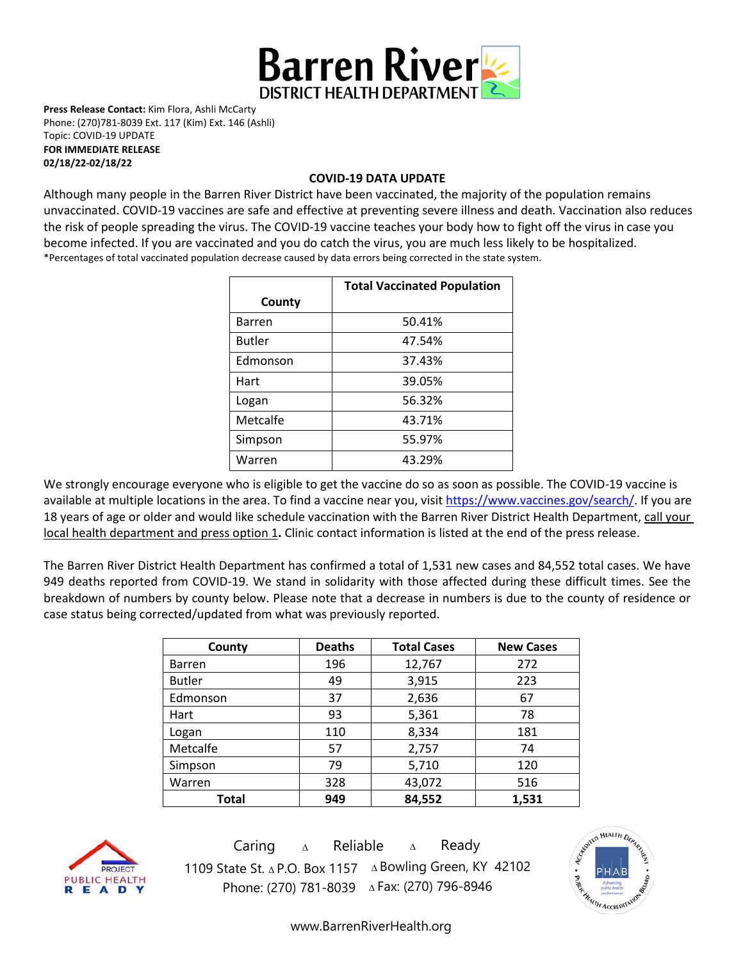

**Press Release Contact:** Kim Flora, Ashli McCarty Phone: (270)781-8039 Ext. 117 (Kim) Ext. 146 (Ashli) Topic: COVID-19 UPDATE **FOR IMMEDIATE RELEASE** 

**02/18/22-02/18/22**

#### **COVID-19 DATA UPDATE**

Although many people in the Barren River District have been vaccinated, the majority of the population remains unvaccinated. COVID-19 vaccines are [safe and effective](https://www.cdc.gov/coronavirus/2019-ncov/vaccines/effectiveness.html) at preventing severe illness and death. Vaccination also reduces the risk of people spreading the virus. The COVID-19 vaccine teaches your body how to fight off the virus in case you become infected. If you are vaccinated and you do catch the virus, you are much less likely to be hospitalized. \*Percentages of total vaccinated population decrease caused by data errors being corrected in the state system.

|               | <b>Total Vaccinated Population</b> |
|---------------|------------------------------------|
| County        |                                    |
| <b>Barren</b> | 50.41%                             |
| <b>Butler</b> | 47.54%                             |
| Edmonson      | 37.43%                             |
| Hart          | 39.05%                             |
| Logan         | 56.32%                             |
| Metcalfe      | 43.71%                             |
| Simpson       | 55.97%                             |
| Warren        | 43.29%                             |

We strongly encourage everyone who is eligible to get the vaccine do so as soon as possible. The COVID-19 vaccine is available at multiple locations in the area. To find a vaccine near you, visi[t https://www.vaccines.gov/search/.](https://www.vaccines.gov/search/) If you are 18 years of age or older and would like schedule vaccination with the Barren River District Health Department, call your local health department and press option 1**.** Clinic contact information is listed at the end of the press release.

The Barren River District Health Department has confirmed a total of 1,531 new cases and 84,552 total cases. We have 949 deaths reported from COVID-19. We stand in solidarity with those affected during these difficult times. See the breakdown of numbers by county below. Please note that a decrease in numbers is due to the county of residence or case status being corrected/updated from what was previously reported.

| County        | <b>Deaths</b> | <b>Total Cases</b> | <b>New Cases</b> |
|---------------|---------------|--------------------|------------------|
| <b>Barren</b> | 196           | 12,767             | 272              |
| <b>Butler</b> | 49            | 3,915              | 223              |
| Edmonson      | 37            | 2,636              | 67               |
| Hart          | 93            | 5,361              | 78               |
| Logan         | 110           | 8,334              | 181              |
| Metcalfe      | 57            | 2,757              | 74               |
| Simpson       | 79            | 5,710              | 120              |
| Warren        | 328           | 43,072             | 516              |
| Total         | 949           | 84,552             | 1,531            |



Caring <sup>∆</sup> Reliable <sup>∆</sup> Ready 1109 State St. ∆ P.O. Box 1157 ∆ Bowling Green, KY 42102 Phone: (270) 781-8039 ∆Fax: (270) 796-8946



[www.BarrenRiverHealth.org](http://www.barrenriverhealth.org/)